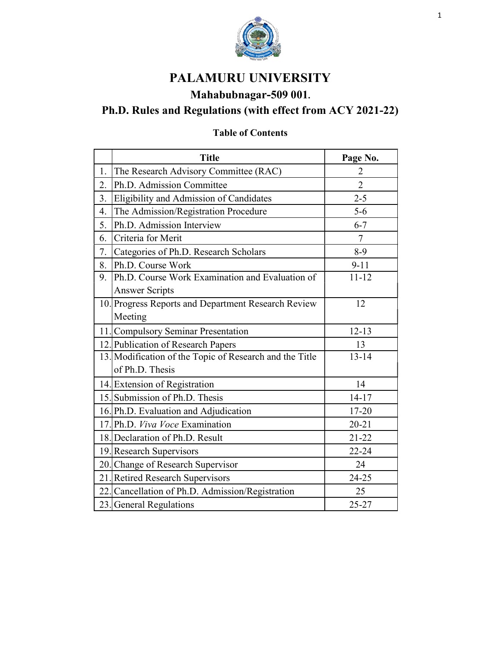

# PALAMURU UNIVERSITY

# Mahabubnagar-509 001.

# Ph.D. Rules and Regulations (with effect from ACY 2021-22)

# Table of Contents

|    | <b>Title</b>                                            | Page No.       |
|----|---------------------------------------------------------|----------------|
| 1. | The Research Advisory Committee (RAC)                   | 2              |
| 2. | Ph.D. Admission Committee                               | $\overline{2}$ |
| 3. | Eligibility and Admission of Candidates                 | $2 - 5$        |
| 4. | The Admission/Registration Procedure                    | $5 - 6$        |
| 5. | Ph.D. Admission Interview                               | $6 - 7$        |
| 6. | Criteria for Merit                                      | $\overline{7}$ |
| 7. | Categories of Ph.D. Research Scholars                   | $8-9$          |
| 8. | Ph.D. Course Work                                       | $9 - 11$       |
| 9. | Ph.D. Course Work Examination and Evaluation of         | $11 - 12$      |
|    | <b>Answer Scripts</b>                                   |                |
|    | 10. Progress Reports and Department Research Review     | 12             |
|    | Meeting                                                 |                |
|    | 11. Compulsory Seminar Presentation                     | $12 - 13$      |
|    | 12. Publication of Research Papers                      | 13             |
|    | 13. Modification of the Topic of Research and the Title | $13 - 14$      |
|    | of Ph.D. Thesis                                         |                |
|    | 14. Extension of Registration                           | 14             |
|    | 15. Submission of Ph.D. Thesis                          | $14 - 17$      |
|    | 16. Ph.D. Evaluation and Adjudication                   | 17-20          |
|    | 17. Ph.D. Viva Voce Examination                         | $20 - 21$      |
|    | 18. Declaration of Ph.D. Result                         | $21 - 22$      |
|    | 19. Research Supervisors                                | $22 - 24$      |
|    | 20. Change of Research Supervisor                       | 24             |
|    | 21. Retired Research Supervisors                        | $24 - 25$      |
|    | 22. Cancellation of Ph.D. Admission/Registration        | 25             |
|    | 23. General Regulations                                 | $25 - 27$      |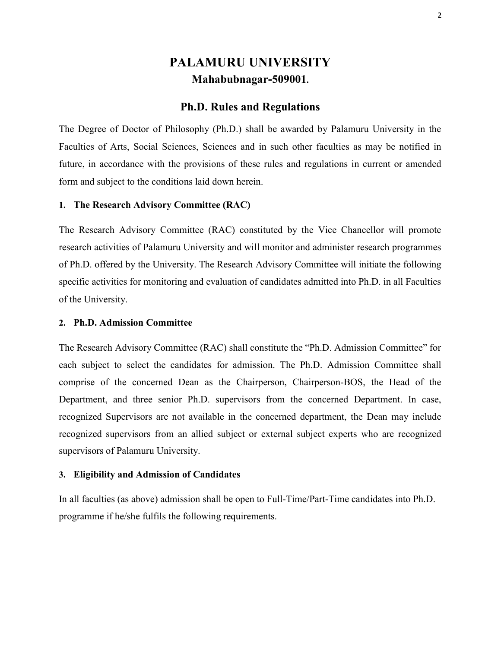# PALAMURU UNIVERSITY Mahabubnagar-509001.

# Ph.D. Rules and Regulations

The Degree of Doctor of Philosophy (Ph.D.) shall be awarded by Palamuru University in the Faculties of Arts, Social Sciences, Sciences and in such other faculties as may be notified in future, in accordance with the provisions of these rules and regulations in current or amended form and subject to the conditions laid down herein.

## 1. The Research Advisory Committee (RAC)

The Research Advisory Committee (RAC) constituted by the Vice Chancellor will promote research activities of Palamuru University and will monitor and administer research programmes of Ph.D. offered by the University. The Research Advisory Committee will initiate the following specific activities for monitoring and evaluation of candidates admitted into Ph.D. in all Faculties of the University.

## 2. Ph.D. Admission Committee

The Research Advisory Committee (RAC) shall constitute the "Ph.D. Admission Committee" for each subject to select the candidates for admission. The Ph.D. Admission Committee shall comprise of the concerned Dean as the Chairperson, Chairperson-BOS, the Head of the Department, and three senior Ph.D. supervisors from the concerned Department. In case, recognized Supervisors are not available in the concerned department, the Dean may include recognized supervisors from an allied subject or external subject experts who are recognized supervisors of Palamuru University.

### 3. Eligibility and Admission of Candidates

In all faculties (as above) admission shall be open to Full-Time/Part-Time candidates into Ph.D. programme if he/she fulfils the following requirements.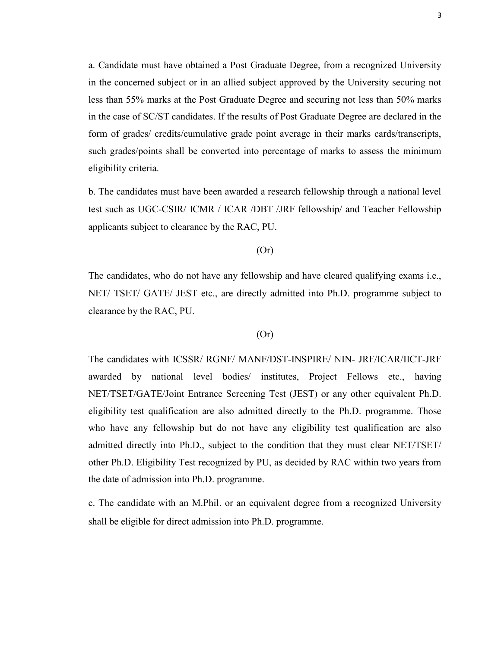a. Candidate must have obtained a Post Graduate Degree, from a recognized University in the concerned subject or in an allied subject approved by the University securing not less than 55% marks at the Post Graduate Degree and securing not less than 50% marks in the case of SC/ST candidates. If the results of Post Graduate Degree are declared in the form of grades/ credits/cumulative grade point average in their marks cards/transcripts, such grades/points shall be converted into percentage of marks to assess the minimum eligibility criteria.

b. The candidates must have been awarded a research fellowship through a national level test such as UGC-CSIR/ ICMR / ICAR /DBT /JRF fellowship/ and Teacher Fellowship applicants subject to clearance by the RAC, PU.

## (Or)

The candidates, who do not have any fellowship and have cleared qualifying exams i.e., NET/ TSET/ GATE/ JEST etc., are directly admitted into Ph.D. programme subject to clearance by the RAC, PU.

## (Or)

The candidates with ICSSR/ RGNF/ MANF/DST-INSPIRE/ NIN- JRF/ICAR/IICT-JRF awarded by national level bodies/ institutes, Project Fellows etc., having NET/TSET/GATE/Joint Entrance Screening Test (JEST) or any other equivalent Ph.D. eligibility test qualification are also admitted directly to the Ph.D. programme. Those who have any fellowship but do not have any eligibility test qualification are also admitted directly into Ph.D., subject to the condition that they must clear NET/TSET/ other Ph.D. Eligibility Test recognized by PU, as decided by RAC within two years from the date of admission into Ph.D. programme.

c. The candidate with an M.Phil. or an equivalent degree from a recognized University shall be eligible for direct admission into Ph.D. programme.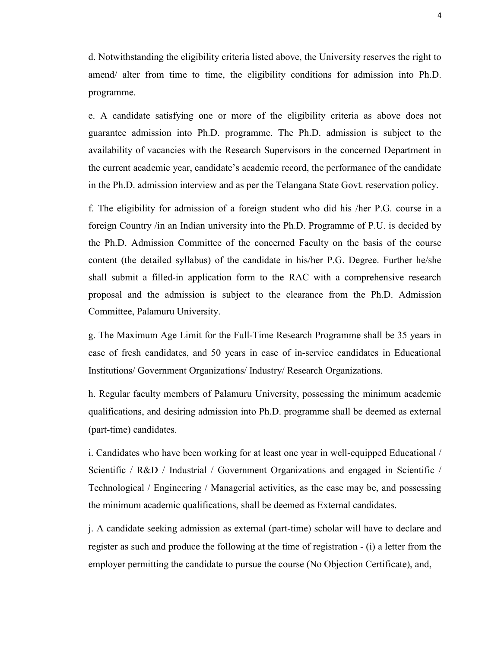d. Notwithstanding the eligibility criteria listed above, the University reserves the right to amend/ alter from time to time, the eligibility conditions for admission into Ph.D. programme.

e. A candidate satisfying one or more of the eligibility criteria as above does not guarantee admission into Ph.D. programme. The Ph.D. admission is subject to the availability of vacancies with the Research Supervisors in the concerned Department in the current academic year, candidate's academic record, the performance of the candidate in the Ph.D. admission interview and as per the Telangana State Govt. reservation policy.

f. The eligibility for admission of a foreign student who did his /her P.G. course in a foreign Country /in an Indian university into the Ph.D. Programme of P.U. is decided by the Ph.D. Admission Committee of the concerned Faculty on the basis of the course content (the detailed syllabus) of the candidate in his/her P.G. Degree. Further he/she shall submit a filled-in application form to the RAC with a comprehensive research proposal and the admission is subject to the clearance from the Ph.D. Admission Committee, Palamuru University.

g. The Maximum Age Limit for the Full-Time Research Programme shall be 35 years in case of fresh candidates, and 50 years in case of in-service candidates in Educational Institutions/ Government Organizations/ Industry/ Research Organizations.

h. Regular faculty members of Palamuru University, possessing the minimum academic qualifications, and desiring admission into Ph.D. programme shall be deemed as external (part-time) candidates.

i. Candidates who have been working for at least one year in well-equipped Educational / Scientific / R&D / Industrial / Government Organizations and engaged in Scientific / Technological / Engineering / Managerial activities, as the case may be, and possessing the minimum academic qualifications, shall be deemed as External candidates.

j. A candidate seeking admission as external (part-time) scholar will have to declare and register as such and produce the following at the time of registration - (i) a letter from the employer permitting the candidate to pursue the course (No Objection Certificate), and,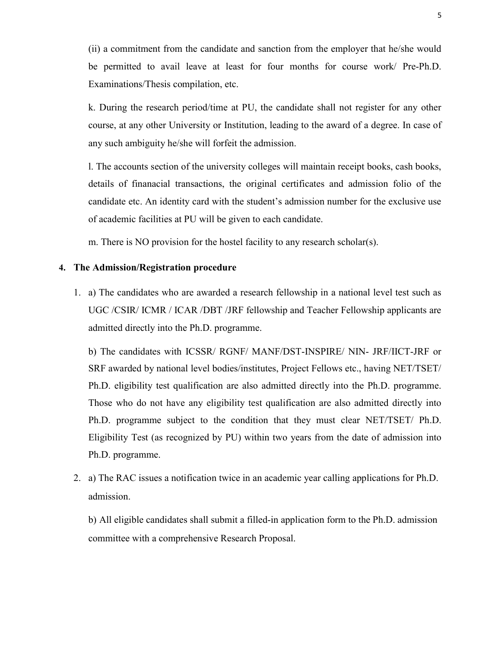(ii) a commitment from the candidate and sanction from the employer that he/she would be permitted to avail leave at least for four months for course work/ Pre-Ph.D. Examinations/Thesis compilation, etc.

k. During the research period/time at PU, the candidate shall not register for any other course, at any other University or Institution, leading to the award of a degree. In case of any such ambiguity he/she will forfeit the admission.

l. The accounts section of the university colleges will maintain receipt books, cash books, details of finanacial transactions, the original certificates and admission folio of the candidate etc. An identity card with the student's admission number for the exclusive use of academic facilities at PU will be given to each candidate.

m. There is NO provision for the hostel facility to any research scholar(s).

# 4. The Admission/Registration procedure

1. a) The candidates who are awarded a research fellowship in a national level test such as UGC /CSIR/ ICMR / ICAR /DBT /JRF fellowship and Teacher Fellowship applicants are admitted directly into the Ph.D. programme.

b) The candidates with ICSSR/ RGNF/ MANF/DST-INSPIRE/ NIN- JRF/IICT-JRF or SRF awarded by national level bodies/institutes, Project Fellows etc., having NET/TSET/ Ph.D. eligibility test qualification are also admitted directly into the Ph.D. programme. Those who do not have any eligibility test qualification are also admitted directly into Ph.D. programme subject to the condition that they must clear NET/TSET/ Ph.D. Eligibility Test (as recognized by PU) within two years from the date of admission into Ph.D. programme.

2. a) The RAC issues a notification twice in an academic year calling applications for Ph.D. admission.

b) All eligible candidates shall submit a filled-in application form to the Ph.D. admission committee with a comprehensive Research Proposal.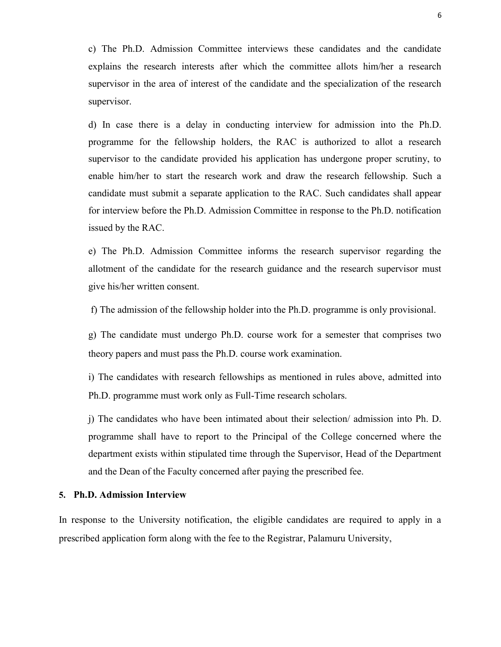c) The Ph.D. Admission Committee interviews these candidates and the candidate explains the research interests after which the committee allots him/her a research supervisor in the area of interest of the candidate and the specialization of the research supervisor.

d) In case there is a delay in conducting interview for admission into the Ph.D. programme for the fellowship holders, the RAC is authorized to allot a research supervisor to the candidate provided his application has undergone proper scrutiny, to enable him/her to start the research work and draw the research fellowship. Such a candidate must submit a separate application to the RAC. Such candidates shall appear for interview before the Ph.D. Admission Committee in response to the Ph.D. notification issued by the RAC.

e) The Ph.D. Admission Committee informs the research supervisor regarding the allotment of the candidate for the research guidance and the research supervisor must give his/her written consent.

f) The admission of the fellowship holder into the Ph.D. programme is only provisional.

g) The candidate must undergo Ph.D. course work for a semester that comprises two theory papers and must pass the Ph.D. course work examination.

i) The candidates with research fellowships as mentioned in rules above, admitted into Ph.D. programme must work only as Full-Time research scholars.

j) The candidates who have been intimated about their selection/ admission into Ph. D. programme shall have to report to the Principal of the College concerned where the department exists within stipulated time through the Supervisor, Head of the Department and the Dean of the Faculty concerned after paying the prescribed fee.

## 5. Ph.D. Admission Interview

In response to the University notification, the eligible candidates are required to apply in a prescribed application form along with the fee to the Registrar, Palamuru University,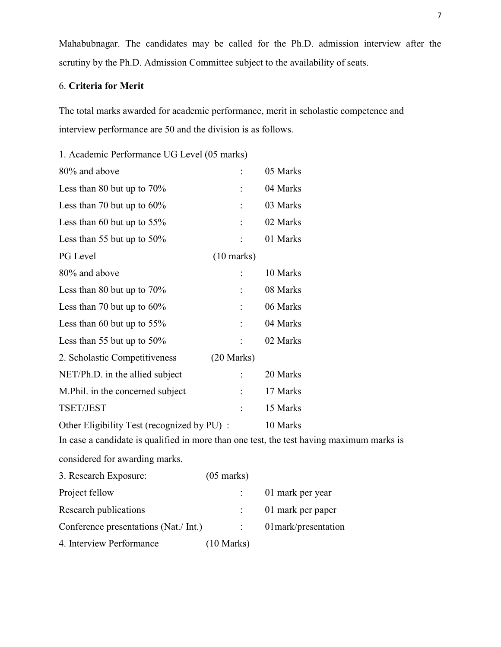Mahabubnagar. The candidates may be called for the Ph.D. admission interview after the scrutiny by the Ph.D. Admission Committee subject to the availability of seats.

# 6. Criteria for Merit

The total marks awarded for academic performance, merit in scholastic competence and interview performance are 50 and the division is as follows.

1. Academic Performance UG Level (05 marks)

| 80% and above                               |                      | 05 Marks |  |
|---------------------------------------------|----------------------|----------|--|
| Less than 80 but up to $70\%$               |                      | 04 Marks |  |
| Less than 70 but up to $60\%$               |                      | 03 Marks |  |
| Less than 60 but up to $55\%$               |                      | 02 Marks |  |
| Less than 55 but up to $50\%$               |                      | 01 Marks |  |
| PG Level                                    | $(10 \text{ marks})$ |          |  |
| 80% and above                               |                      | 10 Marks |  |
| Less than 80 but up to $70\%$               |                      | 08 Marks |  |
| Less than 70 but up to $60\%$               | $\ddot{\phantom{a}}$ | 06 Marks |  |
| Less than 60 but up to $55\%$               |                      | 04 Marks |  |
| Less than 55 but up to $50\%$               |                      | 02 Marks |  |
| 2. Scholastic Competitiveness               | $(20$ Marks)         |          |  |
| NET/Ph.D. in the allied subject             |                      | 20 Marks |  |
| M. Phil. in the concerned subject           |                      | 17 Marks |  |
| TSET/JEST                                   |                      | 15 Marks |  |
| Other Eligibility Test (recognized by PU) : | 10 Marks             |          |  |

In case a candidate is qualified in more than one test, the test having maximum marks is considered for awarding marks.

3. Research Exposure: (05 marks) Project fellow : 01 mark per year Research publications : 01 mark per paper Conference presentations (Nat./ Int.) : 01 mark/presentation 4. Interview Performance (10 Marks)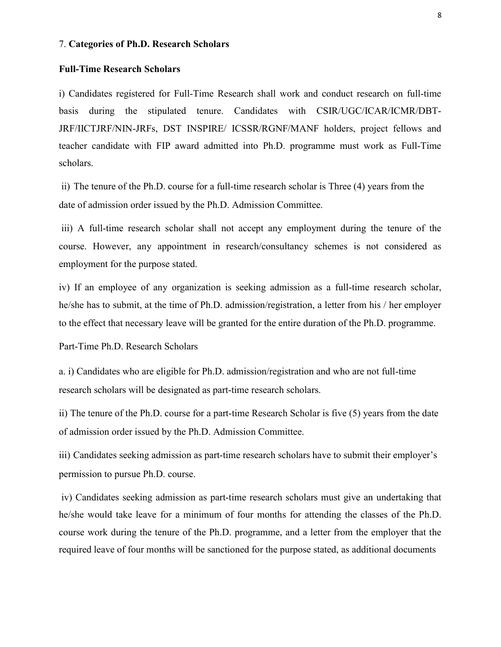#### 7. Categories of Ph.D. Research Scholars

## Full-Time Research Scholars

i) Candidates registered for Full-Time Research shall work and conduct research on full-time basis during the stipulated tenure. Candidates with CSIR/UGC/ICAR/ICMR/DBT-JRF/IICTJRF/NIN-JRFs, DST INSPIRE/ ICSSR/RGNF/MANF holders, project fellows and teacher candidate with FIP award admitted into Ph.D. programme must work as Full-Time scholars.

ii) The tenure of the Ph.D. course for a full-time research scholar is Three (4) years from the date of admission order issued by the Ph.D. Admission Committee.

iii) A full-time research scholar shall not accept any employment during the tenure of the course. However, any appointment in research/consultancy schemes is not considered as employment for the purpose stated.

iv) If an employee of any organization is seeking admission as a full-time research scholar, he/she has to submit, at the time of Ph.D. admission/registration, a letter from his / her employer to the effect that necessary leave will be granted for the entire duration of the Ph.D. programme.

Part-Time Ph.D. Research Scholars

a. i) Candidates who are eligible for Ph.D. admission/registration and who are not full-time research scholars will be designated as part-time research scholars.

ii) The tenure of the Ph.D. course for a part-time Research Scholar is five (5) years from the date of admission order issued by the Ph.D. Admission Committee.

iii) Candidates seeking admission as part-time research scholars have to submit their employer's permission to pursue Ph.D. course.

iv) Candidates seeking admission as part-time research scholars must give an undertaking that he/she would take leave for a minimum of four months for attending the classes of the Ph.D. course work during the tenure of the Ph.D. programme, and a letter from the employer that the required leave of four months will be sanctioned for the purpose stated, as additional documents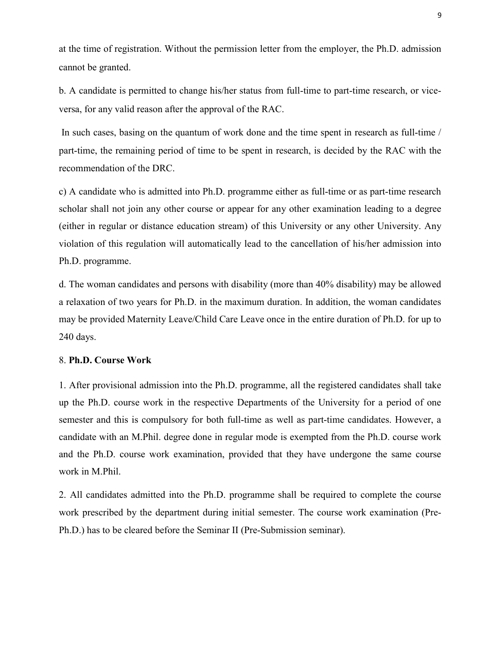at the time of registration. Without the permission letter from the employer, the Ph.D. admission cannot be granted.

b. A candidate is permitted to change his/her status from full-time to part-time research, or viceversa, for any valid reason after the approval of the RAC.

In such cases, basing on the quantum of work done and the time spent in research as full-time / part-time, the remaining period of time to be spent in research, is decided by the RAC with the recommendation of the DRC.

c) A candidate who is admitted into Ph.D. programme either as full-time or as part-time research scholar shall not join any other course or appear for any other examination leading to a degree (either in regular or distance education stream) of this University or any other University. Any violation of this regulation will automatically lead to the cancellation of his/her admission into Ph.D. programme.

d. The woman candidates and persons with disability (more than 40% disability) may be allowed a relaxation of two years for Ph.D. in the maximum duration. In addition, the woman candidates may be provided Maternity Leave/Child Care Leave once in the entire duration of Ph.D. for up to 240 days.

## 8. Ph.D. Course Work

1. After provisional admission into the Ph.D. programme, all the registered candidates shall take up the Ph.D. course work in the respective Departments of the University for a period of one semester and this is compulsory for both full-time as well as part-time candidates. However, a candidate with an M.Phil. degree done in regular mode is exempted from the Ph.D. course work and the Ph.D. course work examination, provided that they have undergone the same course work in M.Phil.

2. All candidates admitted into the Ph.D. programme shall be required to complete the course work prescribed by the department during initial semester. The course work examination (Pre-Ph.D.) has to be cleared before the Seminar II (Pre-Submission seminar).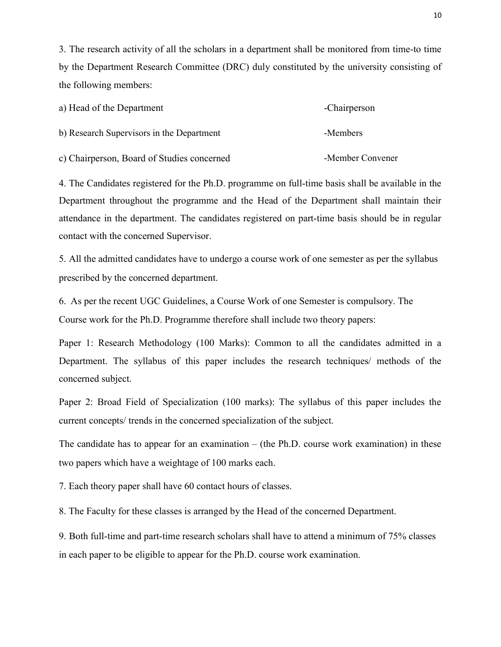3. The research activity of all the scholars in a department shall be monitored from time-to time by the Department Research Committee (DRC) duly constituted by the university consisting of the following members:

| a) Head of the Department                  | -Chairperson     |
|--------------------------------------------|------------------|
| b) Research Supervisors in the Department  | -Members         |
| c) Chairperson, Board of Studies concerned | -Member Convener |

4. The Candidates registered for the Ph.D. programme on full-time basis shall be available in the Department throughout the programme and the Head of the Department shall maintain their attendance in the department. The candidates registered on part-time basis should be in regular contact with the concerned Supervisor.

5. All the admitted candidates have to undergo a course work of one semester as per the syllabus prescribed by the concerned department.

6. As per the recent UGC Guidelines, a Course Work of one Semester is compulsory. The Course work for the Ph.D. Programme therefore shall include two theory papers:

Paper 1: Research Methodology (100 Marks): Common to all the candidates admitted in a Department. The syllabus of this paper includes the research techniques/ methods of the concerned subject.

Paper 2: Broad Field of Specialization (100 marks): The syllabus of this paper includes the current concepts/ trends in the concerned specialization of the subject.

The candidate has to appear for an examination – (the Ph.D. course work examination) in these two papers which have a weightage of 100 marks each.

7. Each theory paper shall have 60 contact hours of classes.

8. The Faculty for these classes is arranged by the Head of the concerned Department.

9. Both full-time and part-time research scholars shall have to attend a minimum of 75% classes in each paper to be eligible to appear for the Ph.D. course work examination.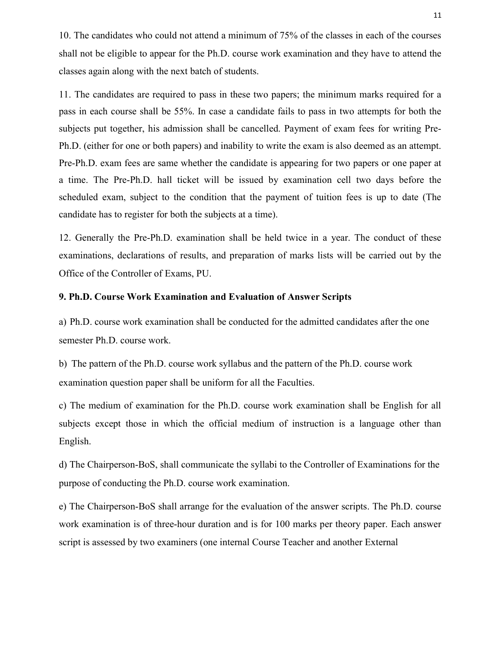10. The candidates who could not attend a minimum of 75% of the classes in each of the courses shall not be eligible to appear for the Ph.D. course work examination and they have to attend the classes again along with the next batch of students.

11. The candidates are required to pass in these two papers; the minimum marks required for a pass in each course shall be 55%. In case a candidate fails to pass in two attempts for both the subjects put together, his admission shall be cancelled. Payment of exam fees for writing Pre-Ph.D. (either for one or both papers) and inability to write the exam is also deemed as an attempt. Pre-Ph.D. exam fees are same whether the candidate is appearing for two papers or one paper at a time. The Pre-Ph.D. hall ticket will be issued by examination cell two days before the scheduled exam, subject to the condition that the payment of tuition fees is up to date (The candidate has to register for both the subjects at a time).

12. Generally the Pre-Ph.D. examination shall be held twice in a year. The conduct of these examinations, declarations of results, and preparation of marks lists will be carried out by the Office of the Controller of Exams, PU.

# 9. Ph.D. Course Work Examination and Evaluation of Answer Scripts

a) Ph.D. course work examination shall be conducted for the admitted candidates after the one semester Ph.D. course work.

b) The pattern of the Ph.D. course work syllabus and the pattern of the Ph.D. course work examination question paper shall be uniform for all the Faculties.

c) The medium of examination for the Ph.D. course work examination shall be English for all subjects except those in which the official medium of instruction is a language other than English.

d) The Chairperson-BoS, shall communicate the syllabi to the Controller of Examinations for the purpose of conducting the Ph.D. course work examination.

e) The Chairperson-BoS shall arrange for the evaluation of the answer scripts. The Ph.D. course work examination is of three-hour duration and is for 100 marks per theory paper. Each answer script is assessed by two examiners (one internal Course Teacher and another External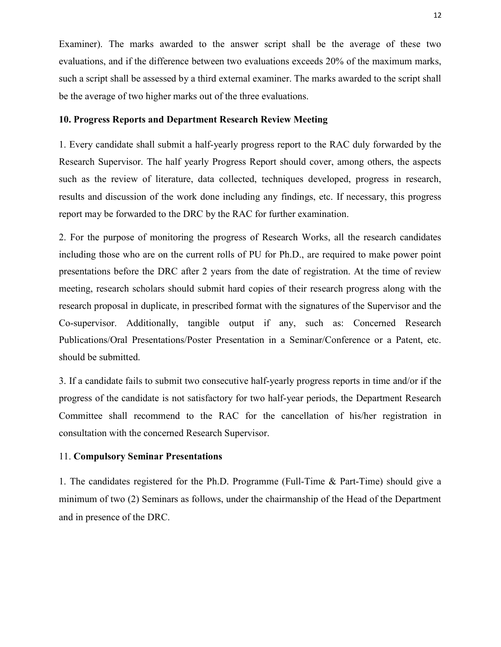Examiner). The marks awarded to the answer script shall be the average of these two evaluations, and if the difference between two evaluations exceeds 20% of the maximum marks, such a script shall be assessed by a third external examiner. The marks awarded to the script shall be the average of two higher marks out of the three evaluations.

## 10. Progress Reports and Department Research Review Meeting

1. Every candidate shall submit a half-yearly progress report to the RAC duly forwarded by the Research Supervisor. The half yearly Progress Report should cover, among others, the aspects such as the review of literature, data collected, techniques developed, progress in research, results and discussion of the work done including any findings, etc. If necessary, this progress report may be forwarded to the DRC by the RAC for further examination.

2. For the purpose of monitoring the progress of Research Works, all the research candidates including those who are on the current rolls of PU for Ph.D., are required to make power point presentations before the DRC after 2 years from the date of registration. At the time of review meeting, research scholars should submit hard copies of their research progress along with the research proposal in duplicate, in prescribed format with the signatures of the Supervisor and the Co-supervisor. Additionally, tangible output if any, such as: Concerned Research Publications/Oral Presentations/Poster Presentation in a Seminar/Conference or a Patent, etc. should be submitted.

3. If a candidate fails to submit two consecutive half-yearly progress reports in time and/or if the progress of the candidate is not satisfactory for two half-year periods, the Department Research Committee shall recommend to the RAC for the cancellation of his/her registration in consultation with the concerned Research Supervisor.

## 11. Compulsory Seminar Presentations

1. The candidates registered for the Ph.D. Programme (Full-Time & Part-Time) should give a minimum of two (2) Seminars as follows, under the chairmanship of the Head of the Department and in presence of the DRC.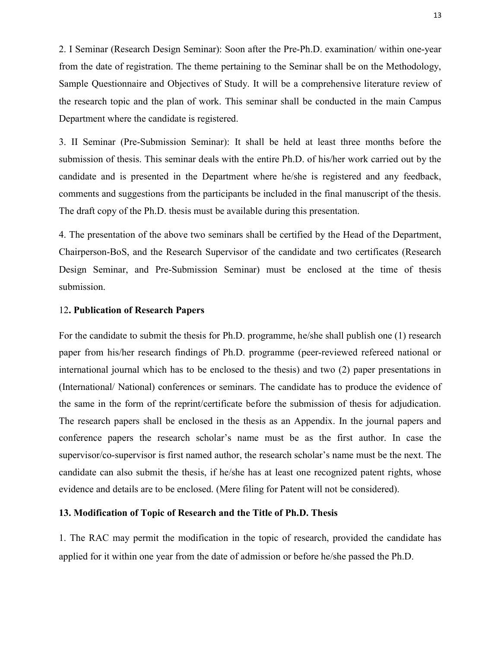2. I Seminar (Research Design Seminar): Soon after the Pre-Ph.D. examination/ within one-year from the date of registration. The theme pertaining to the Seminar shall be on the Methodology, Sample Questionnaire and Objectives of Study. It will be a comprehensive literature review of the research topic and the plan of work. This seminar shall be conducted in the main Campus Department where the candidate is registered.

3. II Seminar (Pre-Submission Seminar): It shall be held at least three months before the submission of thesis. This seminar deals with the entire Ph.D. of his/her work carried out by the candidate and is presented in the Department where he/she is registered and any feedback, comments and suggestions from the participants be included in the final manuscript of the thesis. The draft copy of the Ph.D. thesis must be available during this presentation.

4. The presentation of the above two seminars shall be certified by the Head of the Department, Chairperson-BoS, and the Research Supervisor of the candidate and two certificates (Research Design Seminar, and Pre-Submission Seminar) must be enclosed at the time of thesis submission.

## 12. Publication of Research Papers

For the candidate to submit the thesis for Ph.D. programme, he/she shall publish one (1) research paper from his/her research findings of Ph.D. programme (peer-reviewed refereed national or international journal which has to be enclosed to the thesis) and two (2) paper presentations in (International/ National) conferences or seminars. The candidate has to produce the evidence of the same in the form of the reprint/certificate before the submission of thesis for adjudication. The research papers shall be enclosed in the thesis as an Appendix. In the journal papers and conference papers the research scholar's name must be as the first author. In case the supervisor/co-supervisor is first named author, the research scholar's name must be the next. The candidate can also submit the thesis, if he/she has at least one recognized patent rights, whose evidence and details are to be enclosed. (Mere filing for Patent will not be considered).

# 13. Modification of Topic of Research and the Title of Ph.D. Thesis

1. The RAC may permit the modification in the topic of research, provided the candidate has applied for it within one year from the date of admission or before he/she passed the Ph.D.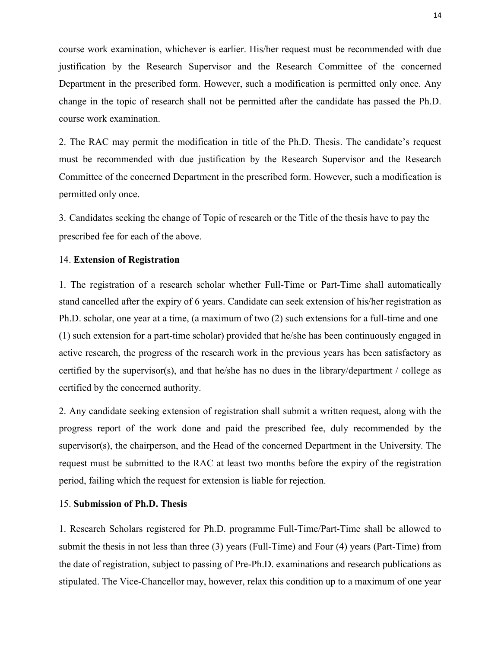course work examination, whichever is earlier. His/her request must be recommended with due justification by the Research Supervisor and the Research Committee of the concerned Department in the prescribed form. However, such a modification is permitted only once. Any change in the topic of research shall not be permitted after the candidate has passed the Ph.D. course work examination.

2. The RAC may permit the modification in title of the Ph.D. Thesis. The candidate's request must be recommended with due justification by the Research Supervisor and the Research Committee of the concerned Department in the prescribed form. However, such a modification is permitted only once.

3. Candidates seeking the change of Topic of research or the Title of the thesis have to pay the prescribed fee for each of the above.

### 14. Extension of Registration

1. The registration of a research scholar whether Full-Time or Part-Time shall automatically stand cancelled after the expiry of 6 years. Candidate can seek extension of his/her registration as Ph.D. scholar, one year at a time, (a maximum of two (2) such extensions for a full-time and one (1) such extension for a part-time scholar) provided that he/she has been continuously engaged in active research, the progress of the research work in the previous years has been satisfactory as certified by the supervisor(s), and that he/she has no dues in the library/department / college as certified by the concerned authority.

2. Any candidate seeking extension of registration shall submit a written request, along with the progress report of the work done and paid the prescribed fee, duly recommended by the supervisor(s), the chairperson, and the Head of the concerned Department in the University. The request must be submitted to the RAC at least two months before the expiry of the registration period, failing which the request for extension is liable for rejection.

## 15. Submission of Ph.D. Thesis

1. Research Scholars registered for Ph.D. programme Full-Time/Part-Time shall be allowed to submit the thesis in not less than three (3) years (Full-Time) and Four (4) years (Part-Time) from the date of registration, subject to passing of Pre-Ph.D. examinations and research publications as stipulated. The Vice-Chancellor may, however, relax this condition up to a maximum of one year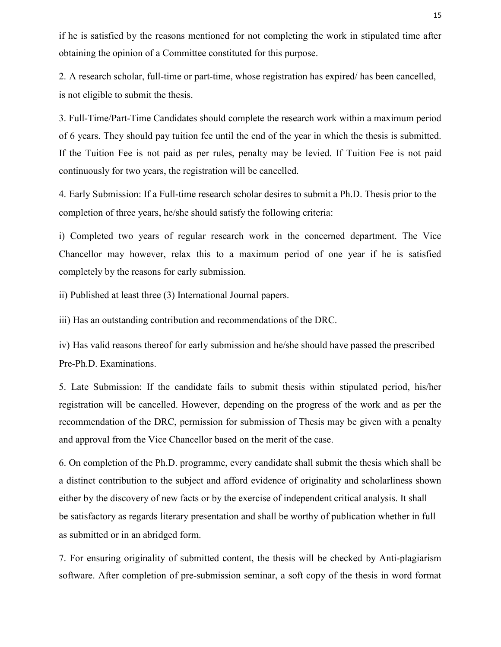if he is satisfied by the reasons mentioned for not completing the work in stipulated time after obtaining the opinion of a Committee constituted for this purpose.

2. A research scholar, full-time or part-time, whose registration has expired/ has been cancelled, is not eligible to submit the thesis.

3. Full-Time/Part-Time Candidates should complete the research work within a maximum period of 6 years. They should pay tuition fee until the end of the year in which the thesis is submitted. If the Tuition Fee is not paid as per rules, penalty may be levied. If Tuition Fee is not paid continuously for two years, the registration will be cancelled.

4. Early Submission: If a Full-time research scholar desires to submit a Ph.D. Thesis prior to the completion of three years, he/she should satisfy the following criteria:

i) Completed two years of regular research work in the concerned department. The Vice Chancellor may however, relax this to a maximum period of one year if he is satisfied completely by the reasons for early submission.

ii) Published at least three (3) International Journal papers.

iii) Has an outstanding contribution and recommendations of the DRC.

iv) Has valid reasons thereof for early submission and he/she should have passed the prescribed Pre-Ph.D. Examinations.

5. Late Submission: If the candidate fails to submit thesis within stipulated period, his/her registration will be cancelled. However, depending on the progress of the work and as per the recommendation of the DRC, permission for submission of Thesis may be given with a penalty and approval from the Vice Chancellor based on the merit of the case.

6. On completion of the Ph.D. programme, every candidate shall submit the thesis which shall be a distinct contribution to the subject and afford evidence of originality and scholarliness shown either by the discovery of new facts or by the exercise of independent critical analysis. It shall be satisfactory as regards literary presentation and shall be worthy of publication whether in full as submitted or in an abridged form.

7. For ensuring originality of submitted content, the thesis will be checked by Anti-plagiarism software. After completion of pre-submission seminar, a soft copy of the thesis in word format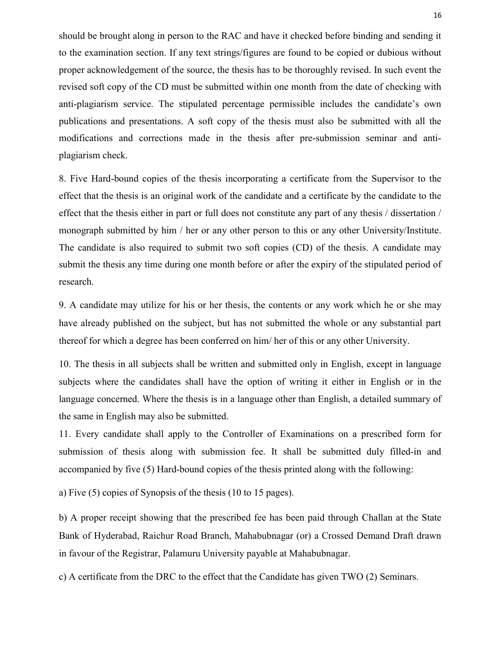should be brought along in person to the RAC and have it checked before binding and sending it to the examination section. If any text strings/figures are found to be copied or dubious without proper acknowledgement of the source, the thesis has to be thoroughly revised. In such event the revised soft copy of the CD must be submitted within one month from the date of checking with anti-plagiarism service. The stipulated percentage permissible includes the candidate's own publications and presentations. A soft copy of the thesis must also be submitted with all the modifications and corrections made in the thesis after pre-submission seminar and antiplagiarism check.

8. Five Hard-bound copies of the thesis incorporating a certificate from the Supervisor to the effect that the thesis is an original work of the candidate and a certificate by the candidate to the effect that the thesis either in part or full does not constitute any part of any thesis / dissertation / monograph submitted by him / her or any other person to this or any other University/Institute. The candidate is also required to submit two soft copies (CD) of the thesis. A candidate may submit the thesis any time during one month before or after the expiry of the stipulated period of research.

9. A candidate may utilize for his or her thesis, the contents or any work which he or she may have already published on the subject, but has not submitted the whole or any substantial part thereof for which a degree has been conferred on him/ her of this or any other University.

10. The thesis in all subjects shall be written and submitted only in English, except in language subjects where the candidates shall have the option of writing it either in English or in the language concerned. Where the thesis is in a language other than English, a detailed summary of the same in English may also be submitted.

11. Every candidate shall apply to the Controller of Examinations on a prescribed form for submission of thesis along with submission fee. It shall be submitted duly filled-in and accompanied by five (5) Hard-bound copies of the thesis printed along with the following:

a) Five (5) copies of Synopsis of the thesis (10 to 15 pages).

b) A proper receipt showing that the prescribed fee has been paid through Challan at the State Bank of Hyderabad, Raichur Road Branch, Mahabubnagar (or) a Crossed Demand Draft drawn in favour of the Registrar, Palamuru University payable at Mahabubnagar.

c) A certificate from the DRC to the effect that the Candidate has given TWO (2) Seminars.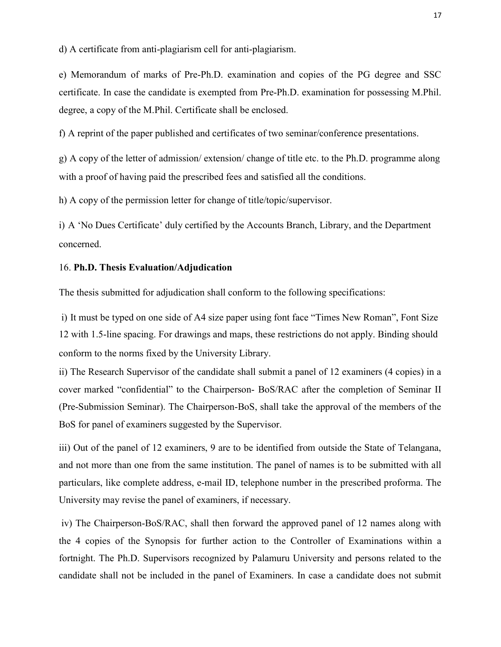d) A certificate from anti-plagiarism cell for anti-plagiarism.

e) Memorandum of marks of Pre-Ph.D. examination and copies of the PG degree and SSC certificate. In case the candidate is exempted from Pre-Ph.D. examination for possessing M.Phil. degree, a copy of the M.Phil. Certificate shall be enclosed.

f) A reprint of the paper published and certificates of two seminar/conference presentations.

g) A copy of the letter of admission/ extension/ change of title etc. to the Ph.D. programme along with a proof of having paid the prescribed fees and satisfied all the conditions.

h) A copy of the permission letter for change of title/topic/supervisor.

i) A 'No Dues Certificate' duly certified by the Accounts Branch, Library, and the Department concerned.

### 16. Ph.D. Thesis Evaluation/Adjudication

The thesis submitted for adjudication shall conform to the following specifications:

i) It must be typed on one side of A4 size paper using font face "Times New Roman", Font Size 12 with 1.5-line spacing. For drawings and maps, these restrictions do not apply. Binding should conform to the norms fixed by the University Library.

ii) The Research Supervisor of the candidate shall submit a panel of 12 examiners (4 copies) in a cover marked "confidential" to the Chairperson- BoS/RAC after the completion of Seminar II (Pre-Submission Seminar). The Chairperson-BoS, shall take the approval of the members of the BoS for panel of examiners suggested by the Supervisor.

iii) Out of the panel of 12 examiners, 9 are to be identified from outside the State of Telangana, and not more than one from the same institution. The panel of names is to be submitted with all particulars, like complete address, e-mail ID, telephone number in the prescribed proforma. The University may revise the panel of examiners, if necessary.

iv) The Chairperson-BoS/RAC, shall then forward the approved panel of 12 names along with the 4 copies of the Synopsis for further action to the Controller of Examinations within a fortnight. The Ph.D. Supervisors recognized by Palamuru University and persons related to the candidate shall not be included in the panel of Examiners. In case a candidate does not submit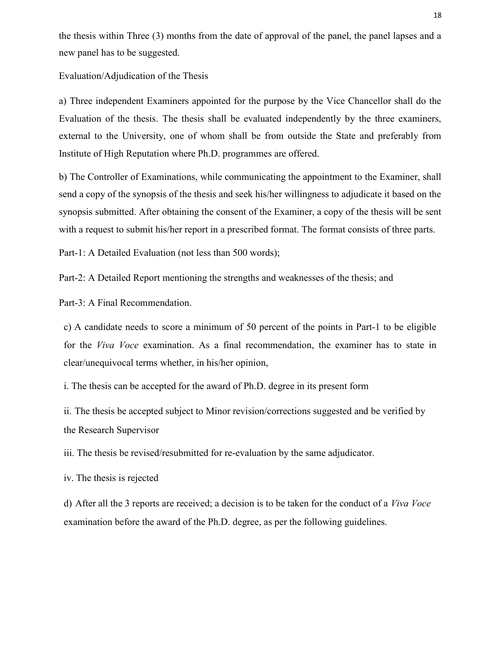the thesis within Three (3) months from the date of approval of the panel, the panel lapses and a new panel has to be suggested.

Evaluation/Adjudication of the Thesis

a) Three independent Examiners appointed for the purpose by the Vice Chancellor shall do the Evaluation of the thesis. The thesis shall be evaluated independently by the three examiners, external to the University, one of whom shall be from outside the State and preferably from Institute of High Reputation where Ph.D. programmes are offered.

b) The Controller of Examinations, while communicating the appointment to the Examiner, shall send a copy of the synopsis of the thesis and seek his/her willingness to adjudicate it based on the synopsis submitted. After obtaining the consent of the Examiner, a copy of the thesis will be sent with a request to submit his/her report in a prescribed format. The format consists of three parts.

Part-1: A Detailed Evaluation (not less than 500 words);

Part-2: A Detailed Report mentioning the strengths and weaknesses of the thesis; and

Part-3: A Final Recommendation.

c) A candidate needs to score a minimum of 50 percent of the points in Part-1 to be eligible for the *Viva Voce* examination. As a final recommendation, the examiner has to state in clear/unequivocal terms whether, in his/her opinion,

i. The thesis can be accepted for the award of Ph.D. degree in its present form

ii. The thesis be accepted subject to Minor revision/corrections suggested and be verified by the Research Supervisor

iii. The thesis be revised/resubmitted for re-evaluation by the same adjudicator.

iv. The thesis is rejected

d) After all the 3 reports are received; a decision is to be taken for the conduct of a Viva Voce examination before the award of the Ph.D. degree, as per the following guidelines.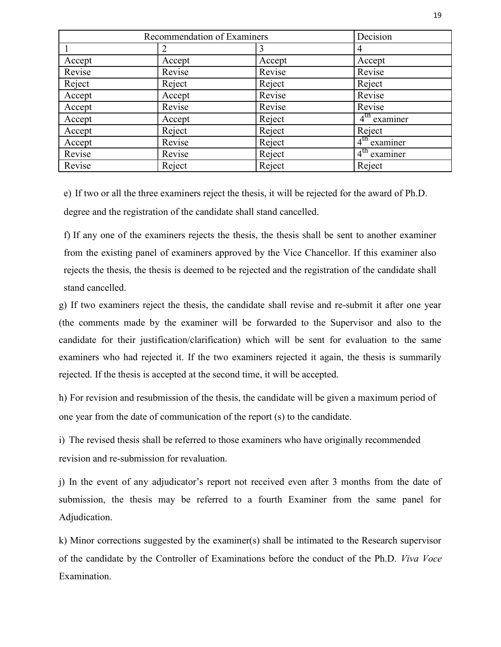|        | Recommendation of Examiners | Decision |                          |
|--------|-----------------------------|----------|--------------------------|
|        |                             |          | 4                        |
| Accept | Accept                      | Accept   | Accept                   |
| Revise | Revise                      | Revise   | Revise                   |
| Reject | Reject                      | Reject   | Reject                   |
| Accept | Accept                      | Revise   | Revise                   |
| Accept | Revise                      | Revise   | Revise                   |
| Accept | Accept                      | Reject   | $4tn$ examiner           |
| Accept | Reject                      | Reject   | Reject                   |
| Accept | Revise                      | Reject   | $4^{\text{th}}$ examiner |
| Revise | Revise                      | Reject   | $4th$ examiner           |
| Revise | Reject                      | Reject   | Reject                   |

e) If two or all the three examiners reject the thesis, it will be rejected for the award of Ph.D. degree and the registration of the candidate shall stand cancelled.

f) If any one of the examiners rejects the thesis, the thesis shall be sent to another examiner from the existing panel of examiners approved by the Vice Chancellor. If this examiner also rejects the thesis, the thesis is deemed to be rejected and the registration of the candidate shall stand cancelled.

g) If two examiners reject the thesis, the candidate shall revise and re-submit it after one year (the comments made by the examiner will be forwarded to the Supervisor and also to the candidate for their justification/clarification) which will be sent for evaluation to the same examiners who had rejected it. If the two examiners rejected it again, the thesis is summarily rejected. If the thesis is accepted at the second time, it will be accepted.

h) For revision and resubmission of the thesis, the candidate will be given a maximum period of one year from the date of communication of the report (s) to the candidate.

i) The revised thesis shall be referred to those examiners who have originally recommended revision and re-submission for revaluation.

j) In the event of any adjudicator's report not received even after 3 months from the date of submission, the thesis may be referred to a fourth Examiner from the same panel for Adjudication.

k) Minor corrections suggested by the examiner(s) shall be intimated to the Research supervisor of the candidate by the Controller of Examinations before the conduct of the Ph.D. Viva Voce Examination.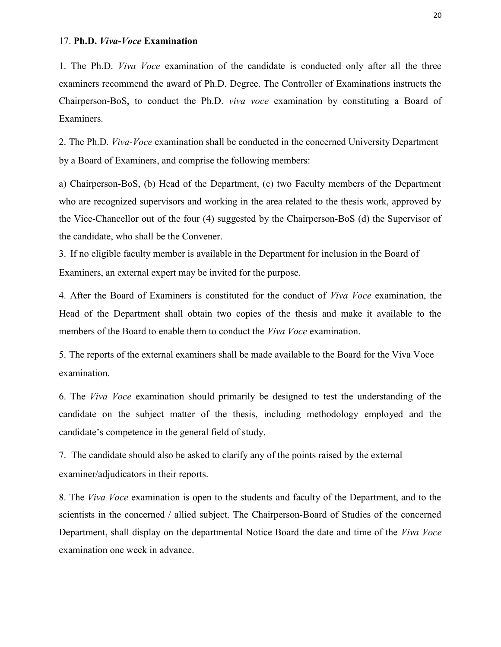## 17. Ph.D. Viva-Voce Examination

1. The Ph.D. Viva Voce examination of the candidate is conducted only after all the three examiners recommend the award of Ph.D. Degree. The Controller of Examinations instructs the Chairperson-BoS, to conduct the Ph.D. viva voce examination by constituting a Board of Examiners.

2. The Ph.D. *Viva-Voce* examination shall be conducted in the concerned University Department by a Board of Examiners, and comprise the following members:

a) Chairperson-BoS, (b) Head of the Department, (c) two Faculty members of the Department who are recognized supervisors and working in the area related to the thesis work, approved by the Vice-Chancellor out of the four (4) suggested by the Chairperson-BoS (d) the Supervisor of the candidate, who shall be the Convener.

3. If no eligible faculty member is available in the Department for inclusion in the Board of Examiners, an external expert may be invited for the purpose.

4. After the Board of Examiners is constituted for the conduct of Viva Voce examination, the Head of the Department shall obtain two copies of the thesis and make it available to the members of the Board to enable them to conduct the *Viva Voce* examination.

5. The reports of the external examiners shall be made available to the Board for the Viva Voce examination.

6. The Viva Voce examination should primarily be designed to test the understanding of the candidate on the subject matter of the thesis, including methodology employed and the candidate's competence in the general field of study.

7. The candidate should also be asked to clarify any of the points raised by the external examiner/adjudicators in their reports.

8. The Viva Voce examination is open to the students and faculty of the Department, and to the scientists in the concerned / allied subject. The Chairperson-Board of Studies of the concerned Department, shall display on the departmental Notice Board the date and time of the Viva Voce examination one week in advance.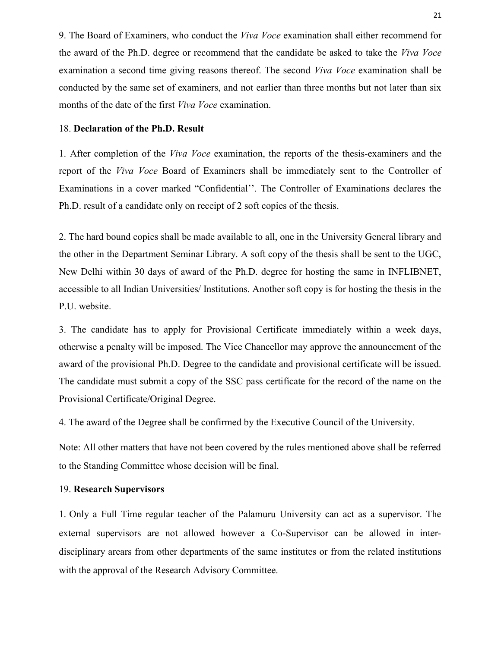9. The Board of Examiners, who conduct the Viva Voce examination shall either recommend for the award of the Ph.D. degree or recommend that the candidate be asked to take the Viva Voce examination a second time giving reasons thereof. The second Viva Voce examination shall be conducted by the same set of examiners, and not earlier than three months but not later than six months of the date of the first Viva Voce examination.

## 18. Declaration of the Ph.D. Result

1. After completion of the Viva Voce examination, the reports of the thesis-examiners and the report of the Viva Voce Board of Examiners shall be immediately sent to the Controller of Examinations in a cover marked "Confidential''. The Controller of Examinations declares the Ph.D. result of a candidate only on receipt of 2 soft copies of the thesis.

2. The hard bound copies shall be made available to all, one in the University General library and the other in the Department Seminar Library. A soft copy of the thesis shall be sent to the UGC, New Delhi within 30 days of award of the Ph.D. degree for hosting the same in INFLIBNET, accessible to all Indian Universities/ Institutions. Another soft copy is for hosting the thesis in the P.U. website.

3. The candidate has to apply for Provisional Certificate immediately within a week days, otherwise a penalty will be imposed. The Vice Chancellor may approve the announcement of the award of the provisional Ph.D. Degree to the candidate and provisional certificate will be issued. The candidate must submit a copy of the SSC pass certificate for the record of the name on the Provisional Certificate/Original Degree.

4. The award of the Degree shall be confirmed by the Executive Council of the University.

Note: All other matters that have not been covered by the rules mentioned above shall be referred to the Standing Committee whose decision will be final.

# 19. Research Supervisors

1. Only a Full Time regular teacher of the Palamuru University can act as a supervisor. The external supervisors are not allowed however a Co-Supervisor can be allowed in interdisciplinary arears from other departments of the same institutes or from the related institutions with the approval of the Research Advisory Committee.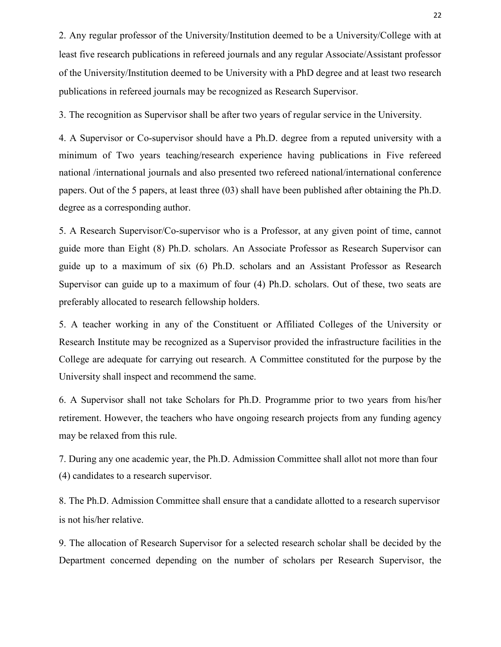2. Any regular professor of the University/Institution deemed to be a University/College with at least five research publications in refereed journals and any regular Associate/Assistant professor of the University/Institution deemed to be University with a PhD degree and at least two research publications in refereed journals may be recognized as Research Supervisor.

3. The recognition as Supervisor shall be after two years of regular service in the University.

4. A Supervisor or Co-supervisor should have a Ph.D. degree from a reputed university with a minimum of Two years teaching/research experience having publications in Five refereed national /international journals and also presented two refereed national/international conference papers. Out of the 5 papers, at least three (03) shall have been published after obtaining the Ph.D. degree as a corresponding author.

5. A Research Supervisor/Co-supervisor who is a Professor, at any given point of time, cannot guide more than Eight (8) Ph.D. scholars. An Associate Professor as Research Supervisor can guide up to a maximum of six (6) Ph.D. scholars and an Assistant Professor as Research Supervisor can guide up to a maximum of four (4) Ph.D. scholars. Out of these, two seats are preferably allocated to research fellowship holders.

5. A teacher working in any of the Constituent or Affiliated Colleges of the University or Research Institute may be recognized as a Supervisor provided the infrastructure facilities in the College are adequate for carrying out research. A Committee constituted for the purpose by the University shall inspect and recommend the same.

6. A Supervisor shall not take Scholars for Ph.D. Programme prior to two years from his/her retirement. However, the teachers who have ongoing research projects from any funding agency may be relaxed from this rule.

7. During any one academic year, the Ph.D. Admission Committee shall allot not more than four (4) candidates to a research supervisor.

8. The Ph.D. Admission Committee shall ensure that a candidate allotted to a research supervisor is not his/her relative.

9. The allocation of Research Supervisor for a selected research scholar shall be decided by the Department concerned depending on the number of scholars per Research Supervisor, the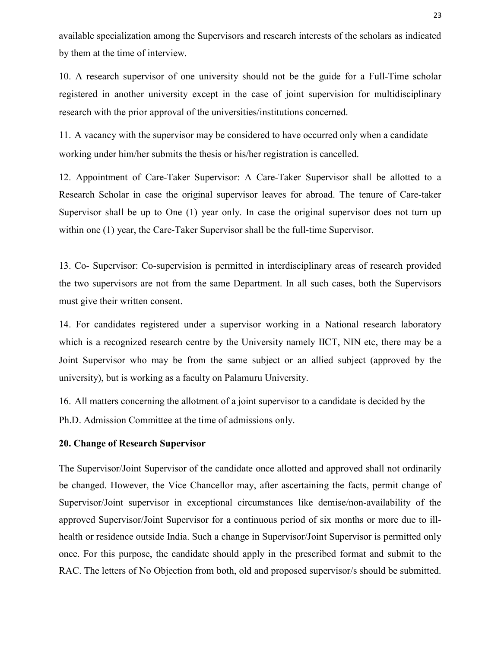available specialization among the Supervisors and research interests of the scholars as indicated by them at the time of interview.

10. A research supervisor of one university should not be the guide for a Full-Time scholar registered in another university except in the case of joint supervision for multidisciplinary research with the prior approval of the universities/institutions concerned.

11. A vacancy with the supervisor may be considered to have occurred only when a candidate working under him/her submits the thesis or his/her registration is cancelled.

12. Appointment of Care-Taker Supervisor: A Care-Taker Supervisor shall be allotted to a Research Scholar in case the original supervisor leaves for abroad. The tenure of Care-taker Supervisor shall be up to One (1) year only. In case the original supervisor does not turn up within one (1) year, the Care-Taker Supervisor shall be the full-time Supervisor.

13. Co- Supervisor: Co-supervision is permitted in interdisciplinary areas of research provided the two supervisors are not from the same Department. In all such cases, both the Supervisors must give their written consent.

14. For candidates registered under a supervisor working in a National research laboratory which is a recognized research centre by the University namely IICT, NIN etc, there may be a Joint Supervisor who may be from the same subject or an allied subject (approved by the university), but is working as a faculty on Palamuru University.

16. All matters concerning the allotment of a joint supervisor to a candidate is decided by the Ph.D. Admission Committee at the time of admissions only.

## 20. Change of Research Supervisor

The Supervisor/Joint Supervisor of the candidate once allotted and approved shall not ordinarily be changed. However, the Vice Chancellor may, after ascertaining the facts, permit change of Supervisor/Joint supervisor in exceptional circumstances like demise/non-availability of the approved Supervisor/Joint Supervisor for a continuous period of six months or more due to illhealth or residence outside India. Such a change in Supervisor/Joint Supervisor is permitted only once. For this purpose, the candidate should apply in the prescribed format and submit to the RAC. The letters of No Objection from both, old and proposed supervisor/s should be submitted.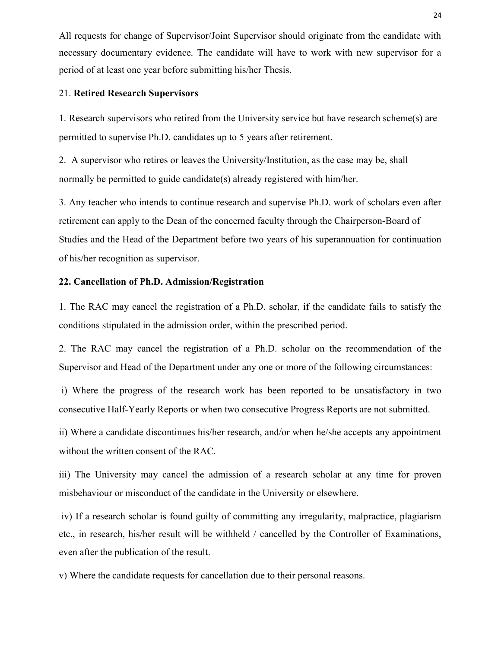All requests for change of Supervisor/Joint Supervisor should originate from the candidate with necessary documentary evidence. The candidate will have to work with new supervisor for a period of at least one year before submitting his/her Thesis.

### 21. Retired Research Supervisors

1. Research supervisors who retired from the University service but have research scheme(s) are permitted to supervise Ph.D. candidates up to 5 years after retirement.

2. A supervisor who retires or leaves the University/Institution, as the case may be, shall normally be permitted to guide candidate(s) already registered with him/her.

3. Any teacher who intends to continue research and supervise Ph.D. work of scholars even after retirement can apply to the Dean of the concerned faculty through the Chairperson-Board of Studies and the Head of the Department before two years of his superannuation for continuation of his/her recognition as supervisor.

## 22. Cancellation of Ph.D. Admission/Registration

1. The RAC may cancel the registration of a Ph.D. scholar, if the candidate fails to satisfy the conditions stipulated in the admission order, within the prescribed period.

2. The RAC may cancel the registration of a Ph.D. scholar on the recommendation of the Supervisor and Head of the Department under any one or more of the following circumstances:

i) Where the progress of the research work has been reported to be unsatisfactory in two consecutive Half-Yearly Reports or when two consecutive Progress Reports are not submitted.

ii) Where a candidate discontinues his/her research, and/or when he/she accepts any appointment without the written consent of the RAC.

iii) The University may cancel the admission of a research scholar at any time for proven misbehaviour or misconduct of the candidate in the University or elsewhere.

iv) If a research scholar is found guilty of committing any irregularity, malpractice, plagiarism etc., in research, his/her result will be withheld / cancelled by the Controller of Examinations, even after the publication of the result.

v) Where the candidate requests for cancellation due to their personal reasons.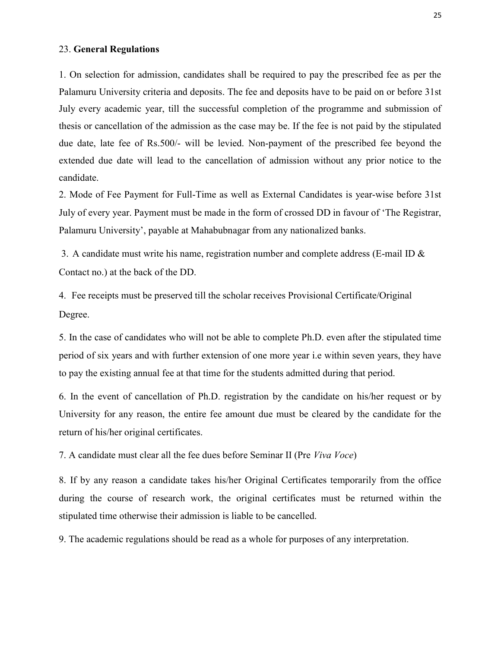## 23. General Regulations

1. On selection for admission, candidates shall be required to pay the prescribed fee as per the Palamuru University criteria and deposits. The fee and deposits have to be paid on or before 31st July every academic year, till the successful completion of the programme and submission of thesis or cancellation of the admission as the case may be. If the fee is not paid by the stipulated due date, late fee of Rs.500/- will be levied. Non-payment of the prescribed fee beyond the extended due date will lead to the cancellation of admission without any prior notice to the candidate.

2. Mode of Fee Payment for Full-Time as well as External Candidates is year-wise before 31st July of every year. Payment must be made in the form of crossed DD in favour of 'The Registrar, Palamuru University', payable at Mahabubnagar from any nationalized banks.

3. A candidate must write his name, registration number and complete address (E-mail ID  $\&$ Contact no.) at the back of the DD.

4. Fee receipts must be preserved till the scholar receives Provisional Certificate/Original Degree.

5. In the case of candidates who will not be able to complete Ph.D. even after the stipulated time period of six years and with further extension of one more year i.e within seven years, they have to pay the existing annual fee at that time for the students admitted during that period.

6. In the event of cancellation of Ph.D. registration by the candidate on his/her request or by University for any reason, the entire fee amount due must be cleared by the candidate for the return of his/her original certificates.

7. A candidate must clear all the fee dues before Seminar II (Pre Viva Voce)

8. If by any reason a candidate takes his/her Original Certificates temporarily from the office during the course of research work, the original certificates must be returned within the stipulated time otherwise their admission is liable to be cancelled.

9. The academic regulations should be read as a whole for purposes of any interpretation.